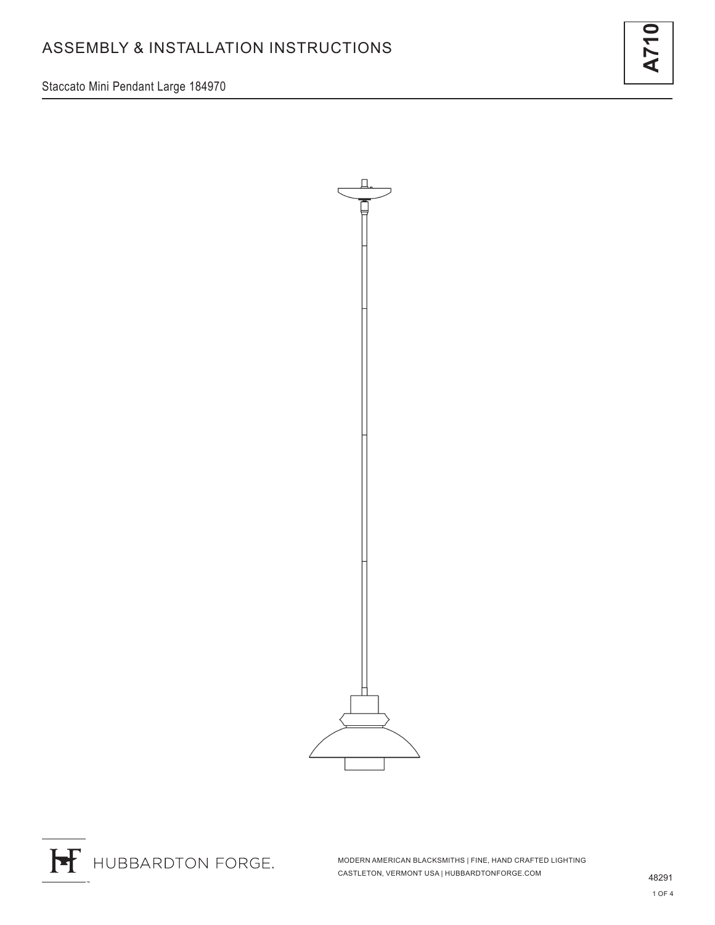Staccato Mini Pendant Large 184970





H HUBBARDTON FORGE.

MODERN AMERICAN BLACKSMITHS | FINE, HAND CRAFTED LIGHTING CASTLETON, VERMONT USA | HUBBARDTONFORGE.COM 48291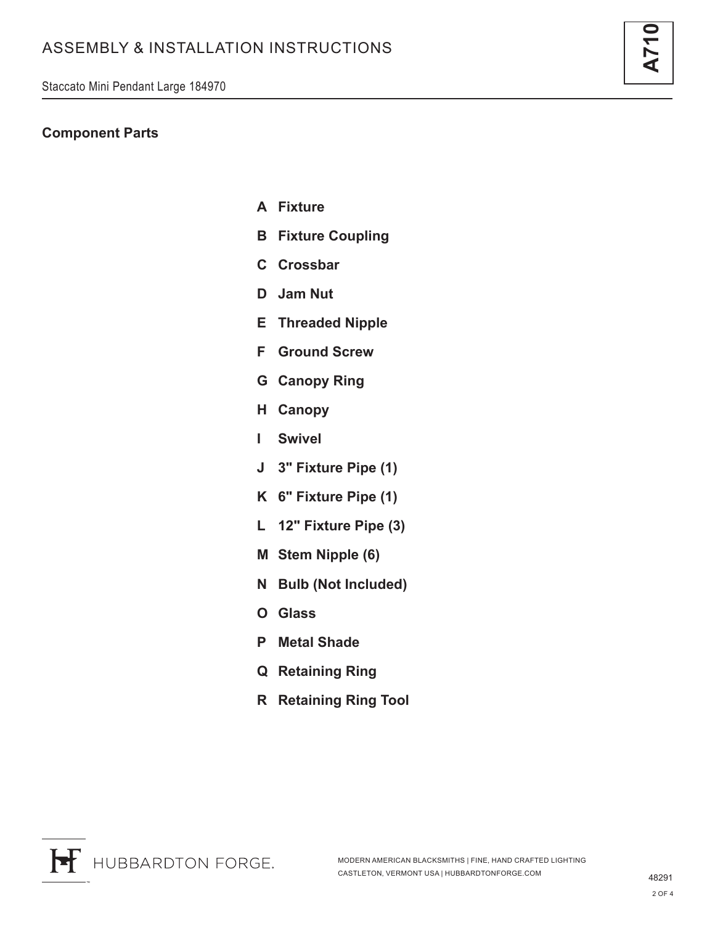## **Component Parts**

- **A Fixture**
- **B Fixture Coupling**
- **C Crossbar**
- **D Jam Nut**
- **E Threaded Nipple**
- **F Ground Screw**
- **G Canopy Ring**
- **H Canopy**
- **I Swivel**
- **J 3" Fixture Pipe (1)**
- **K 6" Fixture Pipe (1)**
- **L 12" Fixture Pipe (3)**
- **M Stem Nipple (6)**
- **N Bulb (Not Included)**
- **O Glass**
- **P Metal Shade**
- **Q Retaining Ring**
- **R Retaining Ring Tool**

**A710**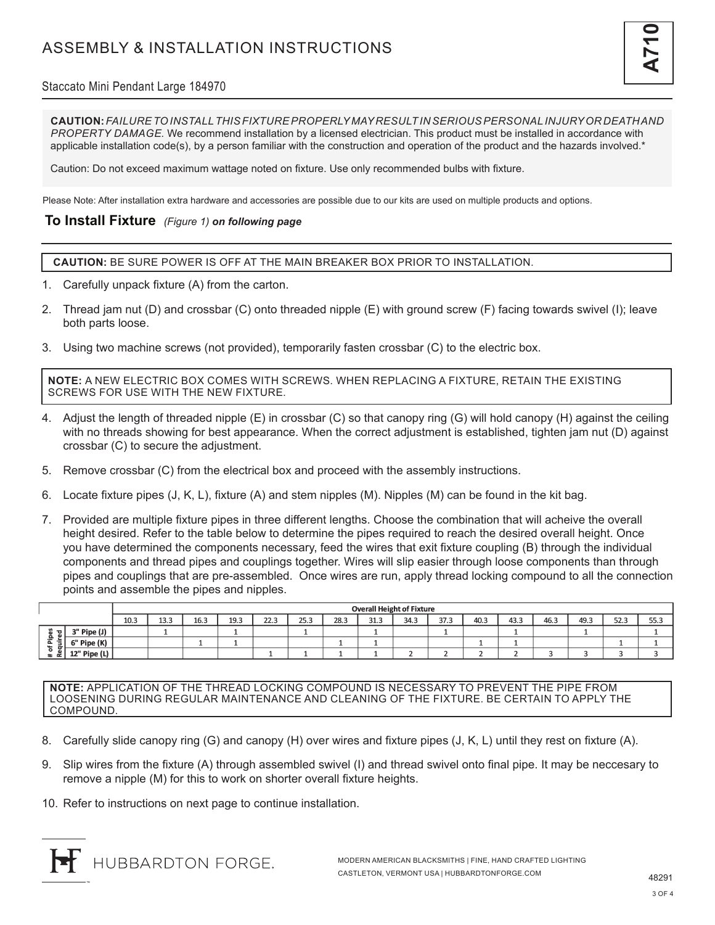# ASSEMBLY & INSTALLATION INSTRUCTIONS



### Staccato Mini Pendant Large 184970

**CAUTION:** *FAILURE TO INSTALL THIS FIXTURE PROPERLY MAY RESULT IN SERIOUS PERSONAL INJURY OR DEATH AND PROPERTY DAMAGE.* We recommend installation by a licensed electrician. This product must be installed in accordance with applicable installation code(s), by a person familiar with the construction and operation of the product and the hazards involved.\*

Caution: Do not exceed maximum wattage noted on fixture. Use only recommended bulbs with fixture.

Please Note: After installation extra hardware and accessories are possible due to our kits are used on multiple products and options.

#### **To Install Fixture** *(Figure 1) on following page*

**CAUTION:** BE SURE POWER IS OFF AT THE MAIN BREAKER BOX PRIOR TO INSTALLATION.

- 1. Carefully unpack fixture (A) from the carton.
- 2. Thread jam nut (D) and crossbar (C) onto threaded nipple (E) with ground screw (F) facing towards swivel (I); leave both parts loose.
- 3. Using two machine screws (not provided), temporarily fasten crossbar (C) to the electric box.

**NOTE:** A NEW ELECTRIC BOX COMES WITH SCREWS. WHEN REPLACING A FIXTURE, RETAIN THE EXISTING SCREWS FOR USE WITH THE NEW FIXTURE.

- 4. Adjust the length of threaded nipple (E) in crossbar (C) so that canopy ring (G) will hold canopy (H) against the ceiling with no threads showing for best appearance. When the correct adjustment is established, tighten jam nut (D) against crossbar (C) to secure the adjustment.
- 5. Remove crossbar (C) from the electrical box and proceed with the assembly instructions.
- 6. Locate fixture pipes (J, K, L), fixture (A) and stem nipples (M). Nipples (M) can be found in the kit bag.
- 7. Provided are multiple fixture pipes in three different lengths. Choose the combination that will acheive the overall height desired. Refer to the table below to determine the pipes required to reach the desired overall height. Once you have determined the components necessary, feed the wires that exit fixture coupling (B) through the individual components and thread pipes and couplings together. Wires will slip easier through loose components than through pipes and couplings that are pre-assembled. Once wires are run, apply thread locking compound to all the connection points and assemble the pipes and nipples.

|                                                         |              | <b>Overall Height of Fixture</b> |              |      |      |      |      |      |             |      |      |      |               |      |      |      |      |
|---------------------------------------------------------|--------------|----------------------------------|--------------|------|------|------|------|------|-------------|------|------|------|---------------|------|------|------|------|
|                                                         |              | 10.3                             | 12.3<br>13.J | 16.3 | 19.3 | 22.3 | 25.3 | 28.3 | 212<br>31.3 | 34.3 | 37.3 | 40.3 | 43.3          | 46.3 | 49.3 | 52.3 | 55.3 |
| $\sim$<br>ᆞ<br>m<br>-요<br>$\sim$<br>Ð<br>$\pm$ $\alpha$ | 3" Pipe (J)  |                                  |              |      |      |      |      |      |             |      |      |      | -             |      |      |      |      |
|                                                         | 6" Pipe (K)  |                                  |              |      |      |      |      |      |             |      |      |      | <b>STATES</b> |      |      |      |      |
|                                                         | 12" Pipe (L) |                                  |              |      |      |      |      |      |             |      |      |      |               |      |      |      |      |

**NOTE:** APPLICATION OF THE THREAD LOCKING COMPOUND IS NECESSARY TO PREVENT THE PIPE FROM LOOSENING DURING REGULAR MAINTENANCE AND CLEANING OF THE FIXTURE. BE CERTAIN TO APPLY THE COMPOUND.

- 8. Carefully slide canopy ring (G) and canopy (H) over wires and fixture pipes (J, K, L) until they rest on fixture (A).
- 9. Slip wires from the fixture (A) through assembled swivel (I) and thread swivel onto final pipe. It may be neccesary to remove a nipple (M) for this to work on shorter overall fixture heights.
- 10. Refer to instructions on next page to continue installation.